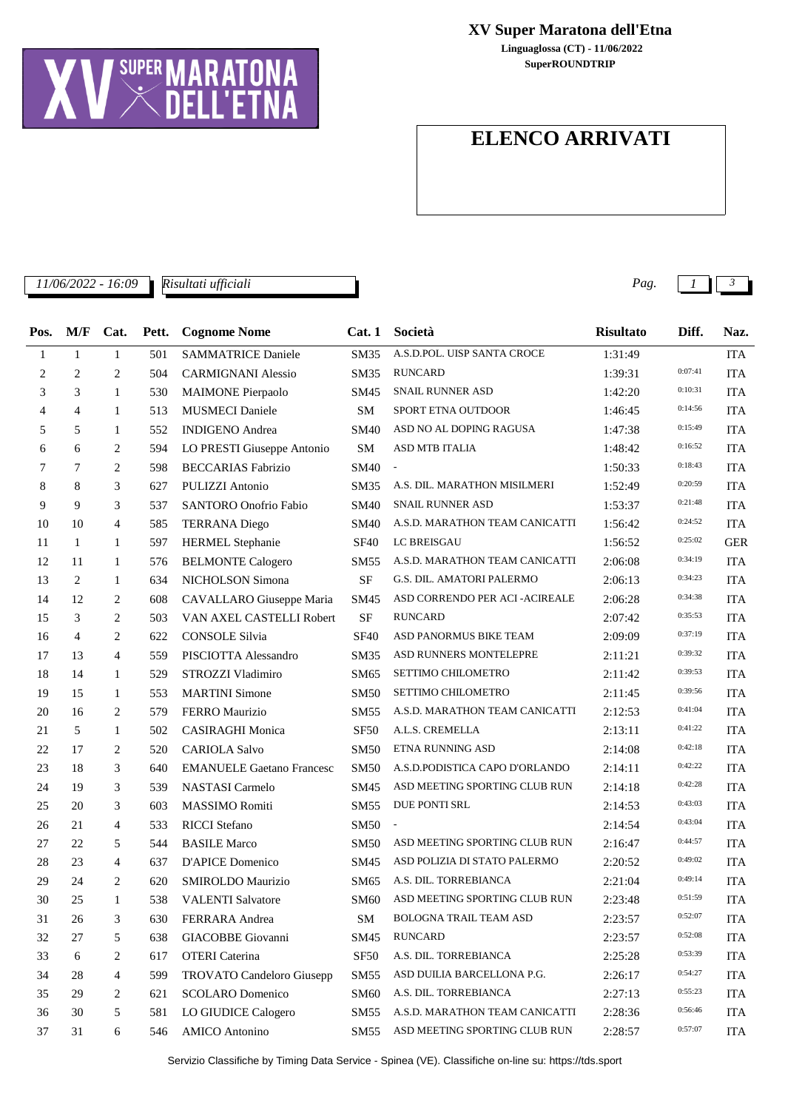## **ELENCO ARRIVATI**

*11/06/2022 - 16:09 Pag. 1 3 Risultati ufficiali*

| Pos. | M/F            | Cat.           |       | <b>Cognome Nome</b>              | Cat.1            | Società                        | <b>Risultato</b> | Diff.   | Naz.       |
|------|----------------|----------------|-------|----------------------------------|------------------|--------------------------------|------------------|---------|------------|
|      |                |                | Pett. |                                  |                  |                                |                  |         |            |
| 1    | $\mathbf{1}$   | $\mathbf{1}$   | 501   | <b>SAMMATRICE Daniele</b>        | SM35             | A.S.D.POL. UISP SANTA CROCE    | 1:31:49          | 0:07:41 | <b>ITA</b> |
| 2    | 2              | 2              | 504   | <b>CARMIGNANI Alessio</b>        | SM35             | <b>RUNCARD</b>                 | 1:39:31          |         | <b>ITA</b> |
| 3    | 3              | 1              | 530   | <b>MAIMONE Pierpaolo</b>         | SM45             | <b>SNAIL RUNNER ASD</b>        | 1:42:20          | 0:10:31 | <b>ITA</b> |
| 4    | 4              | 1              | 513   | <b>MUSMECI</b> Daniele           | <b>SM</b>        | SPORT ETNA OUTDOOR             | 1:46:45          | 0:14:56 | <b>ITA</b> |
| 5    | 5              | 1              | 552   | <b>INDIGENO</b> Andrea           | <b>SM40</b>      | ASD NO AL DOPING RAGUSA        | 1:47:38          | 0:15:49 | <b>ITA</b> |
| 6    | 6              | 2              | 594   | LO PRESTI Giuseppe Antonio       | SM               | ASD MTB ITALIA                 | 1:48:42          | 0:16:52 | <b>ITA</b> |
| 7    | 7              | 2              | 598   | <b>BECCARIAS</b> Fabrizio        | SM40             |                                | 1:50:33          | 0:18:43 | <b>ITA</b> |
| 8    | 8              | 3              | 627   | PULIZZI Antonio                  | SM35             | A.S. DIL. MARATHON MISILMERI   | 1:52:49          | 0:20:59 | <b>ITA</b> |
| 9    | 9              | 3              | 537   | <b>SANTORO Onofrio Fabio</b>     | SM40             | <b>SNAIL RUNNER ASD</b>        | 1:53:37          | 0:21:48 | <b>ITA</b> |
| 10   | 10             | 4              | 585   | <b>TERRANA</b> Diego             | SM40             | A.S.D. MARATHON TEAM CANICATTI | 1:56:42          | 0:24:52 | <b>ITA</b> |
| 11   | 1              | $\mathbf{1}$   | 597   | <b>HERMEL Stephanie</b>          | <b>SF40</b>      | LC BREISGAU                    | 1:56:52          | 0:25:02 | <b>GER</b> |
| 12   | 11             | $\mathbf{1}$   | 576   | <b>BELMONTE Calogero</b>         | SM55             | A.S.D. MARATHON TEAM CANICATTI | 2:06:08          | 0:34:19 | <b>ITA</b> |
| 13   | 2              | 1              | 634   | NICHOLSON Simona                 | <b>SF</b>        | G.S. DIL. AMATORI PALERMO      | 2:06:13          | 0:34:23 | <b>ITA</b> |
| 14   | 12             | 2              | 608   | CAVALLARO Giuseppe Maria         | SM45             | ASD CORRENDO PER ACI-ACIREALE  | 2:06:28          | 0:34:38 | <b>ITA</b> |
| 15   | 3              | 2              | 503   | VAN AXEL CASTELLI Robert         | $\rm SF$         | <b>RUNCARD</b>                 | 2:07:42          | 0:35:53 | <b>ITA</b> |
| 16   | $\overline{4}$ | 2              | 622   | <b>CONSOLE Silvia</b>            | <b>SF40</b>      | ASD PANORMUS BIKE TEAM         | 2:09:09          | 0:37:19 | <b>ITA</b> |
| 17   | 13             | $\overline{4}$ | 559   | PISCIOTTA Alessandro             | SM35             | ASD RUNNERS MONTELEPRE         | 2:11:21          | 0:39:32 | <b>ITA</b> |
| 18   | 14             | 1              | 529   | STROZZI Vladimiro                | SM65             | SETTIMO CHILOMETRO             | 2:11:42          | 0:39:53 | <b>ITA</b> |
| 19   | 15             | 1              | 553   | <b>MARTINI</b> Simone            | SM50             | SETTIMO CHILOMETRO             | 2:11:45          | 0:39:56 | <b>ITA</b> |
| 20   | 16             | 2              | 579   | <b>FERRO</b> Maurizio            | SM55             | A.S.D. MARATHON TEAM CANICATTI | 2:12:53          | 0:41:04 | <b>ITA</b> |
| 21   | 5              | 1              | 502   | <b>CASIRAGHI Monica</b>          | <b>SF50</b>      | A.L.S. CREMELLA                | 2:13:11          | 0:41:22 | <b>ITA</b> |
| 22   | 17             | 2              | 520   | <b>CARIOLA Salvo</b>             | <b>SM50</b>      | ETNA RUNNING ASD               | 2:14:08          | 0:42:18 | <b>ITA</b> |
| 23   | 18             | 3              | 640   | <b>EMANUELE Gaetano Francesc</b> | <b>SM50</b>      | A.S.D.PODISTICA CAPO D'ORLANDO | 2:14:11          | 0:42:22 | <b>ITA</b> |
| 24   | 19             | 3              | 539   | <b>NASTASI</b> Carmelo           | SM45             | ASD MEETING SPORTING CLUB RUN  | 2:14:18          | 0:42:28 | <b>ITA</b> |
| 25   | 20             | 3              | 603   | <b>MASSIMO Romiti</b>            | SM <sub>55</sub> | DUE PONTI SRL                  | 2:14:53          | 0:43:03 | <b>ITA</b> |
| 26   | 21             | $\overline{4}$ | 533   | <b>RICCI</b> Stefano             | <b>SM50</b>      | $\overline{\phantom{a}}$       | 2:14:54          | 0:43:04 | <b>ITA</b> |
| 27   | 22             | 5              | 544   | <b>BASILE Marco</b>              | SM50             | ASD MEETING SPORTING CLUB RUN  | 2:16:47          | 0:44:57 | <b>ITA</b> |
| 28   | 23             | $\overline{4}$ | 637   | D'APICE Domenico                 | SM45             | ASD POLIZIA DI STATO PALERMO   | 2:20:52          | 0:49:02 | <b>ITA</b> |
| 29   | 24             | 2              | 620   | <b>SMIROLDO Maurizio</b>         |                  | SM65 A.S. DIL. TORREBIANCA     | 2:21:04          | 0:49:14 | <b>ITA</b> |
| 30   | 25             | 1              | 538   | <b>VALENTI Salvatore</b>         | SM <sub>60</sub> | ASD MEETING SPORTING CLUB RUN  | 2:23:48          | 0:51:59 | ITA        |
| 31   | 26             | 3              | 630   | FERRARA Andrea                   | SM               | <b>BOLOGNA TRAIL TEAM ASD</b>  | 2:23:57          | 0:52:07 | <b>ITA</b> |
| 32   | 27             | 5              | 638   | GIACOBBE Giovanni                | SM45             | <b>RUNCARD</b>                 | 2:23:57          | 0:52:08 | <b>ITA</b> |
| 33   | 6              | 2              | 617   | <b>OTERI</b> Caterina            | SF <sub>50</sub> | A.S. DIL. TORREBIANCA          | 2:25:28          | 0:53:39 | <b>ITA</b> |
| 34   | 28             | 4              | 599   | <b>TROVATO Candeloro Giusepp</b> | SM55             | ASD DUILIA BARCELLONA P.G.     | 2:26:17          | 0:54:27 | <b>ITA</b> |
| 35   | 29             | 2              | 621   | <b>SCOLARO</b> Domenico          | <b>SM60</b>      | A.S. DIL. TORREBIANCA          | 2:27:13          | 0:55:23 | <b>ITA</b> |
| 36   | 30             | 5              | 581   | LO GIUDICE Calogero              | SM55             | A.S.D. MARATHON TEAM CANICATTI | 2:28:36          | 0:56:46 | ITA        |
| 37   | 31             | 6              | 546   | <b>AMICO</b> Antonino            | SM55             | ASD MEETING SPORTING CLUB RUN  | 2:28:57          | 0:57:07 | ITA        |
|      |                |                |       |                                  |                  |                                |                  |         |            |

Servizio Classifiche by Timing Data Service - Spinea (VE). Classifiche on-line su: https://tds.sport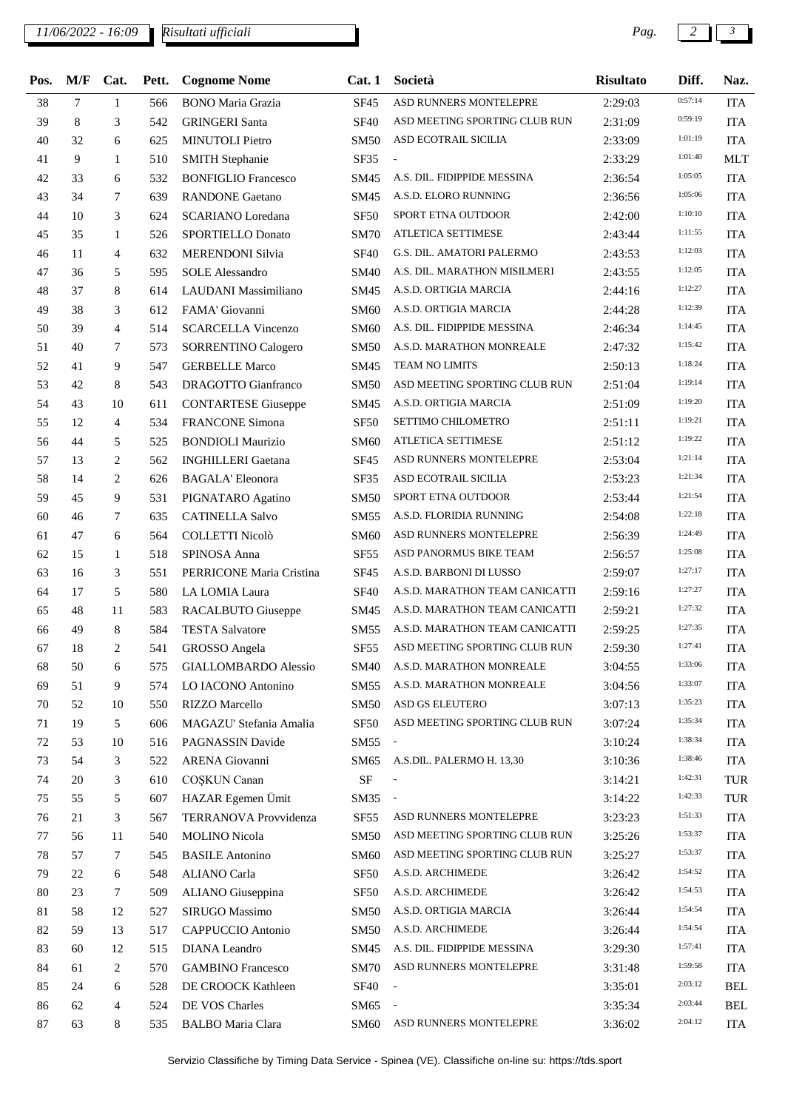*11/06/2022 - 16:09 Pag. 2 3*

*Risultati ufficiali*

| Pos. | M/F | Cat.           | Pett. | <b>Cognome Nome</b>         | Cat.1            | Società                        | <b>Risultato</b> | Diff.   | Naz.       |
|------|-----|----------------|-------|-----------------------------|------------------|--------------------------------|------------------|---------|------------|
| 38   | 7   | $\mathbf{1}$   | 566   | <b>BONO</b> Maria Grazia    | <b>SF45</b>      | ASD RUNNERS MONTELEPRE         | 2:29:03          | 0:57:14 | <b>ITA</b> |
| 39   | 8   | 3              | 542   | <b>GRINGERI Santa</b>       | <b>SF40</b>      | ASD MEETING SPORTING CLUB RUN  | 2:31:09          | 0:59:19 | <b>ITA</b> |
| 40   | 32  | 6              | 625   | <b>MINUTOLI Pietro</b>      | SM50             | ASD ECOTRAIL SICILIA           | 2:33:09          | 1:01:19 | <b>ITA</b> |
| 41   | 9   | $\mathbf{1}$   | 510   | <b>SMITH Stephanie</b>      | SF35             | $\overline{\phantom{a}}$       | 2:33:29          | 1:01:40 | <b>MLT</b> |
| 42   | 33  | 6              | 532   | <b>BONFIGLIO Francesco</b>  | SM45             | A.S. DIL. FIDIPPIDE MESSINA    | 2:36:54          | 1:05:05 | <b>ITA</b> |
| 43   | 34  | 7              | 639   | <b>RANDONE</b> Gaetano      | SM45             | A.S.D. ELORO RUNNING           | 2:36:56          | 1:05:06 | <b>ITA</b> |
| 44   | 10  | 3              | 624   | <b>SCARIANO</b> Loredana    | <b>SF50</b>      | SPORT ETNA OUTDOOR             | 2:42:00          | 1:10:10 | <b>ITA</b> |
| 45   | 35  | $\mathbf{1}$   | 526   | <b>SPORTIELLO Donato</b>    | <b>SM70</b>      | ATLETICA SETTIMESE             | 2:43:44          | 1:11:55 | <b>ITA</b> |
| 46   | 11  | 4              | 632   | <b>MERENDONI Silvia</b>     | <b>SF40</b>      | G.S. DIL. AMATORI PALERMO      | 2:43:53          | 1:12:03 | <b>ITA</b> |
| 47   | 36  | 5              | 595   | <b>SOLE</b> Alessandro      | SM40             | A.S. DIL. MARATHON MISILMERI   | 2:43:55          | 1:12:05 | <b>ITA</b> |
| 48   | 37  | 8              | 614   | LAUDANI Massimiliano        | SM45             | A.S.D. ORTIGIA MARCIA          | 2:44:16          | 1:12:27 | <b>ITA</b> |
| 49   | 38  | 3              | 612   | FAMA' Giovanni              | SM60             | A.S.D. ORTIGIA MARCIA          | 2:44:28          | 1:12:39 | <b>ITA</b> |
| 50   | 39  | $\overline{4}$ | 514   | <b>SCARCELLA Vincenzo</b>   | <b>SM60</b>      | A.S. DIL. FIDIPPIDE MESSINA    | 2:46:34          | 1:14:45 | <b>ITA</b> |
| 51   | 40  | 7              | 573   | <b>SORRENTINO Calogero</b>  | SM50             | A.S.D. MARATHON MONREALE       | 2:47:32          | 1:15:42 | <b>ITA</b> |
| 52   | 41  | 9              | 547   | <b>GERBELLE Marco</b>       | SM45             | <b>TEAM NO LIMITS</b>          | 2:50:13          | 1:18:24 | <b>ITA</b> |
| 53   | 42  | 8              | 543   | <b>DRAGOTTO</b> Gianfranco  | SM50             | ASD MEETING SPORTING CLUB RUN  | 2:51:04          | 1:19:14 | <b>ITA</b> |
| 54   | 43  | 10             | 611   | <b>CONTARTESE Giuseppe</b>  | SM45             | A.S.D. ORTIGIA MARCIA          | 2:51:09          | 1:19:20 | <b>ITA</b> |
| 55   | 12  | 4              | 534   | <b>FRANCONE Simona</b>      | <b>SF50</b>      | SETTIMO CHILOMETRO             | 2:51:11          | 1:19:21 | <b>ITA</b> |
| 56   | 44  | 5              | 525   | <b>BONDIOLI Maurizio</b>    | SM60             | <b>ATLETICA SETTIMESE</b>      | 2:51:12          | 1:19:22 | <b>ITA</b> |
| 57   | 13  | 2              | 562   | <b>INGHILLERI</b> Gaetana   | SF45             | ASD RUNNERS MONTELEPRE         | 2:53:04          | 1:21:14 | <b>ITA</b> |
| 58   | 14  | 2              | 626   | <b>BAGALA' Eleonora</b>     | <b>SF35</b>      | ASD ECOTRAIL SICILIA           | 2:53:23          | 1:21:34 | <b>ITA</b> |
| 59   | 45  | 9              | 531   | PIGNATARO Agatino           | SM50             | SPORT ETNA OUTDOOR             | 2:53:44          | 1:21:54 | <b>ITA</b> |
| 60   | 46  | 7              | 635   | <b>CATINELLA Salvo</b>      | SM55             | A.S.D. FLORIDIA RUNNING        | 2:54:08          | 1:22:18 | <b>ITA</b> |
| 61   | 47  | 6              | 564   | <b>COLLETTI Nicolò</b>      | SM60             | ASD RUNNERS MONTELEPRE         | 2:56:39          | 1:24:49 | <b>ITA</b> |
| 62   | 15  | $\mathbf{1}$   | 518   | SPINOSA Anna                | <b>SF55</b>      | ASD PANORMUS BIKE TEAM         | 2:56:57          | 1:25:08 | <b>ITA</b> |
| 63   | 16  | 3              | 551   | PERRICONE Maria Cristina    | <b>SF45</b>      | A.S.D. BARBONI DI LUSSO        | 2:59:07          | 1:27:17 | <b>ITA</b> |
| 64   | 17  | 5              | 580   | LA LOMIA Laura              | <b>SF40</b>      | A.S.D. MARATHON TEAM CANICATTI | 2:59:16          | 1:27:27 | <b>ITA</b> |
| 65   | 48  | 11             | 583   | RACALBUTO Giuseppe          | SM45             | A.S.D. MARATHON TEAM CANICATTI | 2:59:21          | 1:27:32 | <b>ITA</b> |
| 66   | 49  | 8              | 584   | <b>TESTA Salvatore</b>      | SM55             | A.S.D. MARATHON TEAM CANICATTI | 2:59:25          | 1:27:35 | <b>ITA</b> |
| 67   | 18  | 2              | 541   | GROSSO Angela               | <b>SF55</b>      | ASD MEETING SPORTING CLUB RUN  | 2:59:30          | 1:27:41 | <b>ITA</b> |
| 68   | 50  | 6              | 575   | <b>GIALLOMBARDO</b> Alessio | SM40             | A.S.D. MARATHON MONREALE       | 3:04:55          | 1:33:06 | <b>ITA</b> |
| 69   | 51  | 9              | 574   | LO IACONO Antonino          | SM55             | A.S.D. MARATHON MONREALE       | 3:04:56          | 1:33:07 | <b>ITA</b> |
| 70   | 52  | 10             | 550   | <b>RIZZO</b> Marcello       | SM50             | ASD GS ELEUTERO                | 3:07:13          | 1:35:23 | <b>ITA</b> |
| 71   | 19  | 5              | 606   | MAGAZU' Stefania Amalia     | SF50             | ASD MEETING SPORTING CLUB RUN  | 3:07:24          | 1:35:34 | <b>ITA</b> |
| 72   | 53  | 10             | 516   | PAGNASSIN Davide            | SM55             | $\sim$                         | 3:10:24          | 1:38:34 | <b>ITA</b> |
| 73   | 54  | 3              | 522   | <b>ARENA</b> Giovanni       | SM65             | A.S.DIL. PALERMO H. 13,30      | 3:10:36          | 1:38:46 | <b>ITA</b> |
| 74   | 20  | 3              | 610   | COȘKUN Canan                | $\rm{SF}$        |                                | 3:14:21          | 1:42:31 | TUR        |
| 75   | 55  | 5              | 607   | HAZAR Egemen Ümit           | SM35             | $\overline{\phantom{a}}$       | 3:14:22          | 1:42:33 | TUR        |
| 76   | 21  | 3              | 567   | TERRANOVA Provvidenza       | SF <sub>55</sub> | ASD RUNNERS MONTELEPRE         | 3:23:23          | 1:51:33 | <b>ITA</b> |
| 77   | 56  | 11             | 540   | <b>MOLINO</b> Nicola        | SM50             | ASD MEETING SPORTING CLUB RUN  | 3:25:26          | 1:53:37 | <b>ITA</b> |
| 78   | 57  | 7              | 545   | <b>BASILE</b> Antonino      | SM60             | ASD MEETING SPORTING CLUB RUN  | 3:25:27          | 1:53:37 | <b>ITA</b> |
| 79   | 22  | 6              | 548   | <b>ALIANO</b> Carla         | SF50             | A.S.D. ARCHIMEDE               | 3:26:42          | 1:54:52 | <b>ITA</b> |
| 80   | 23  | 7              | 509   | ALIANO Giuseppina           | <b>SF50</b>      | A.S.D. ARCHIMEDE               | 3:26:42          | 1:54:53 | <b>ITA</b> |
| 81   | 58  | 12             | 527   | SIRUGO Massimo              | SM50             | A.S.D. ORTIGIA MARCIA          | 3:26:44          | 1:54:54 | <b>ITA</b> |
| 82   | 59  | 13             | 517   | CAPPUCCIO Antonio           | SM50             | A.S.D. ARCHIMEDE               | 3:26:44          | 1:54:54 | <b>ITA</b> |
| 83   | 60  | 12             | 515   | <b>DIANA</b> Leandro        | SM45             | A.S. DIL. FIDIPPIDE MESSINA    | 3:29:30          | 1:57:41 | <b>ITA</b> |
| 84   | 61  | 2              | 570   | <b>GAMBINO</b> Francesco    | SM70             | ASD RUNNERS MONTELEPRE         | 3:31:48          | 1:59:58 | <b>ITA</b> |
| 85   | 24  | 6              | 528   | DE CROOCK Kathleen          | <b>SF40</b>      | $\overline{\phantom{a}}$       | 3:35:01          | 2:03:12 | <b>BEL</b> |
| 86   | 62  | 4              | 524   | DE VOS Charles              | SM65             |                                | 3:35:34          | 2:03:44 | <b>BEL</b> |
| 87   | 63  | 8              | 535   | <b>BALBO</b> Maria Clara    | <b>SM60</b>      | ASD RUNNERS MONTELEPRE         | 3:36:02          | 2:04:12 | <b>ITA</b> |